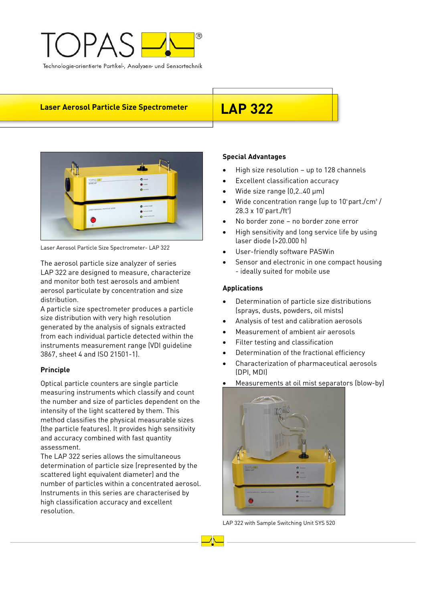

# **Laser Aerosol Particle Size Spectrometer LAP 322**



Laser Aerosol Particle Size Spectrometer- LAP 322

The aerosol particle size analyzer of series LAP 322 are designed to measure, characterize and monitor both test aerosols and ambient aerosol particulate by concentration and size distribution.

A particle size spectrometer produces a particle size distribution with very high resolution generated by the analysis of signals extracted from each individual particle detected within the instruments measurement range (VDI guideline 3867, sheet 4 and ISO 21501-1).

## **Principle**

Optical particle counters are single particle measuring instruments which classify and count the number and size of particles dependent on the intensity of the light scattered by them. This method classifies the physical measurable sizes (the particle features). It provides high sensitivity and accuracy combined with fast quantity assessment.

The LAP 322 series allows the simultaneous determination of particle size (represented by the scattered light equivalent diameter) and the number of particles within a concentrated aerosol. Instruments in this series are characterised by high classification accuracy and excellent resolution.

## **Special Advantages**

- High size resolution up to 128 channels
- Excellent classification accuracy
- Wide size range (0,2..40 μm)
- Wide concentration range (up to  $10^4$  part./cm<sup>3</sup>/  $28.3 \times 10^{7}$  part./ft<sup>3</sup>)
- No border zone no border zone error
- High sensitivity and long service life by using laser diode (>20.000 h)
- User-friendly software PASWin
- Sensor and electronic in one compact housing - ideally suited for mobile use

### **Applications**

- Determination of particle size distributions (sprays, dusts, powders, oil mists)
- Analysis of test and calibration aerosols
- Measurement of ambient air aerosols
- Filter testing and classification
- Determination of the fractional efficiency
- Characterization of pharmaceutical aerosols (DPI, MDI)
- Measurements at oil mist separators (blow-by)



LAP 322 with Sample Switching Unit SYS 520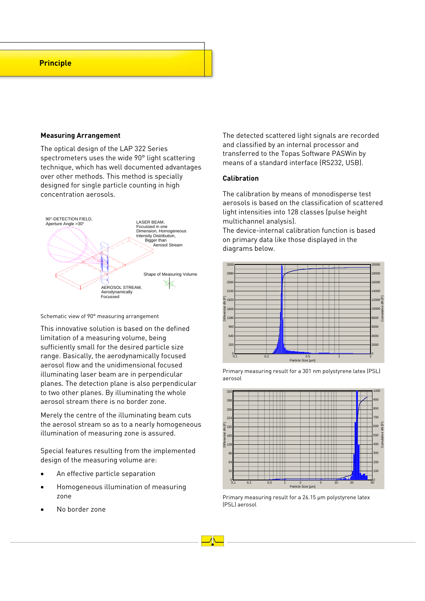## **Principle**

#### **Measuring Arrangement**

The optical design of the LAP 322 Series spectrometers uses the wide 90° light scattering technique, which has well documented advantages over other methods. This method is specially designed for single particle counting in high concentration aerosols.



Schematic view of 90° measuring arrangement

This innovative solution is based on the defined limitation of a measuring volume, being sufficiently small for the desired particle size range. Basically, the aerodynamically focused aerosol flow and the unidimensional focused illuminating laser beam are in perpendicular planes. The detection plane is also perpendicular to two other planes. By illuminating the whole aerosol stream there is no border zone.

Merely the centre of the illuminating beam cuts the aerosol stream so as to a nearly homogeneous illumination of measuring zone is assured.

Special features resulting from the implemented design of the measuring volume are:

- An effective particle separation
- Homogeneous illumination of measuring zone
- No border zone

The detected scattered light signals are recorded and classified by an internal processor and transferred to the Topas Software PASWin by means of a standard interface (RS232, USB).

#### **Calibration**

The calibration by means of monodisperse test aerosols is based on the classification of scattered light intensities into 128 classes (pulse height multichannel analysis).

The device-internal calibration function is based on primary data like those displayed in the diagrams below.



Primary measuring result for a 301 nm polystyrene latex (PSL) aerosol



Primary measuring result for a 26.15 μm polystyrene latex (PSL) aerosol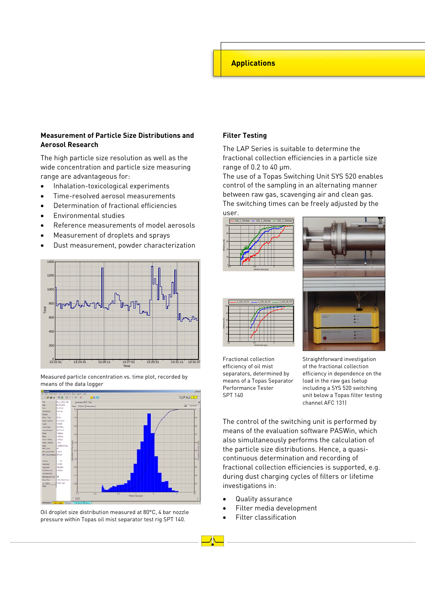## **Applications**

## **Measurement of Particle Size Distributions and Aerosol Research**

The high particle size resolution as well as the wide concentration and particle size measuring range are advantageous for:

- Inhalation-toxicological experiments
- Time-resolved aerosol measurements
- Determination of fractional efficiencies
- Environmental studies
- Reference measurements of model aerosols
- Measurement of droplets and sprays
- Dust measurement, powder characterization



Measured particle concentration vs. time plot, recorded by means of the data logger



Oil droplet size distribution measured at 80°C, 4 bar nozzle pressure within Topas oil mist separator test rig SPT 140.

#### **Filter Testing**

The LAP Series is suitable to determine the fractional collection efficiencies in a particle size range of 0.2 to 40 μm.

The use of a Topas Switching Unit SYS 520 enables control of the sampling in an alternating manner between raw gas, scavenging air and clean gas. The switching times can be freely adjusted by the user.



2\_120\_15\_P2 - 2\_120\_35\_P2 - 2\_120\_45\_P2



Fractional collection efficiency of oil mist separators, determined by means of a Topas Separator Performance Tester SPT 140

Particle Size [µm] 0,2 0,5 1 2

> Straightforward investigation of the fractional collection efficiency in dependence on the load in the raw gas (setup including a SYS 520 switching unit below a Topas filter testing channel AFC 131)

The control of the switching unit is performed by means of the evaluation software PASWin, which also simultaneously performs the calculation of the particle size distributions. Hence, a quasicontinuous determination and recording of fractional collection efficiencies is supported, e.g. during dust charging cycles of filters or lifetime investigations in:

- Quality assurance
- Filter media development
- Filter classification